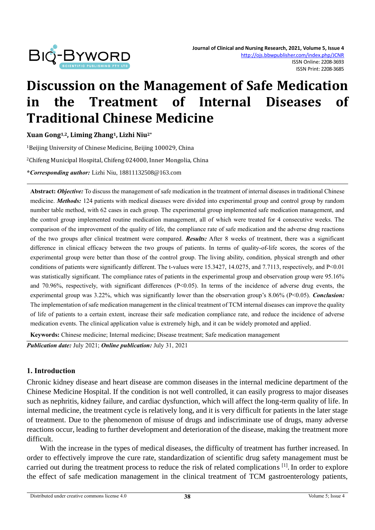

# **Discussion on the Management of Safe Medication in the Treatment of Internal Diseases of Traditional Chinese Medicine**

**Xuan Gong1,2, Liming Zhang1, Lizhi Niu2\***

<sup>1</sup>Beijing University of Chinese Medicine, Beijing 100029, China <sup>2</sup>Chifeng Municipal Hospital, Chifeng 024000, Inner Mongolia, China **\****Corresponding author:* Lizhi Niu, 18811132508@163.com

**Abstract:** *Objective:* To discuss the management of safe medication in the treatment of internal diseases in traditional Chinese medicine. *Methods:* 124 patients with medical diseases were divided into experimental group and control group by random number table method, with 62 cases in each group. The experimental group implemented safe medication management, and the control group implemented routine medication management, all of which were treated for 4 consecutive weeks. The comparison of the improvement of the quality of life, the compliance rate of safe medication and the adverse drug reactions of the two groups after clinical treatment were compared. *Results:* After 8 weeks of treatment, there was a significant difference in clinical efficacy between the two groups of patients. In terms of quality-of-life scores, the scores of the experimental group were better than those of the control group. The living ability, condition, physical strength and other conditions of patients were significantly different. The t-values were 15.3427, 14.0275, and 7.7113, respectively, and P<0.01 was statistically significant. The compliance rates of patients in the experimental group and observation group were 95.16% and 70.96%, respectively, with significant differences (P<0.05). In terms of the incidence of adverse drug events, the experimental group was 3.22%, which was significantly lower than the observation group's 8.06% (P<0.05). *Conclusion:* The implementation of safe medication management in the clinical treatment of TCM internal diseases can improve the quality of life of patients to a certain extent, increase their safe medication compliance rate, and reduce the incidence of adverse medication events. The clinical application value is extremely high, and it can be widely promoted and applied.

**Keywords:** Chinese medicine; Internal medicine; Disease treatment; Safe medication management

*Publication date:* July 2021; *Online publication:* July 31, 2021

## **1. Introduction**

Chronic kidney disease and heart disease are common diseases in the internal medicine department of the Chinese Medicine Hospital. If the condition is not well controlled, it can easily progress to major diseases such as nephritis, kidney failure, and cardiac dysfunction, which will affect the long-term quality of life. In internal medicine, the treatment cycle is relatively long, and it is very difficult for patients in the later stage of treatment. Due to the phenomenon of misuse of drugs and indiscriminate use of drugs, many adverse reactions occur, leading to further development and deterioration of the disease, making the treatment more difficult.

With the increase in the types of medical diseases, the difficulty of treatment has further increased. In order to effectively improve the cure rate, standardization of scientific drug safety management must be carried out during the treatment process to reduce the risk of related complications [1]. In order to explore the effect of safe medication management in the clinical treatment of TCM gastroenterology patients,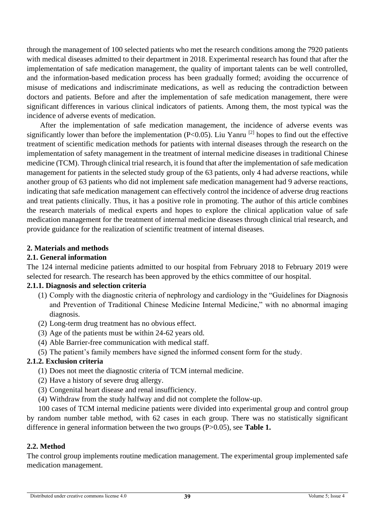through the management of 100 selected patients who met the research conditions among the 7920 patients with medical diseases admitted to their department in 2018. Experimental research has found that after the implementation of safe medication management, the quality of important talents can be well controlled, and the information-based medication process has been gradually formed; avoiding the occurrence of misuse of medications and indiscriminate medications, as well as reducing the contradiction between doctors and patients. Before and after the implementation of safe medication management, there were significant differences in various clinical indicators of patients. Among them, the most typical was the incidence of adverse events of medication.

After the implementation of safe medication management, the incidence of adverse events was significantly lower than before the implementation (P<0.05). Liu Yanru <sup>[2]</sup> hopes to find out the effective treatment of scientific medication methods for patients with internal diseases through the research on the implementation of safety management in the treatment of internal medicine diseases in traditional Chinese medicine (TCM). Through clinical trial research, it is found that after the implementation of safe medication management for patients in the selected study group of the 63 patients, only 4 had adverse reactions, while another group of 63 patients who did not implement safe medication management had 9 adverse reactions, indicating that safe medication management can effectively control the incidence of adverse drug reactions and treat patients clinically. Thus, it has a positive role in promoting. The author of this article combines the research materials of medical experts and hopes to explore the clinical application value of safe medication management for the treatment of internal medicine diseases through clinical trial research, and provide guidance for the realization of scientific treatment of internal diseases.

## **2. Materials and methods**

## **2.1. General information**

The 124 internal medicine patients admitted to our hospital from February 2018 to February 2019 were selected for research. The research has been approved by the ethics committee of our hospital.

# **2.1.1. Diagnosis and selection criteria**

- (1) Comply with the diagnostic criteria of nephrology and cardiology in the "Guidelines for Diagnosis and Prevention of Traditional Chinese Medicine Internal Medicine," with no abnormal imaging diagnosis.
- (2) Long-term drug treatment has no obvious effect.
- (3) Age of the patients must be within 24-62 years old.
- (4) Able Barrier-free communication with medical staff.
- (5) The patient's family members have signed the informed consent form for the study.

# **2.1.2. Exclusion criteria**

- (1) Does not meet the diagnostic criteria of TCM internal medicine.
- (2) Have a history of severe drug allergy.
- (3) Congenital heart disease and renal insufficiency.
- (4) Withdraw from the study halfway and did not complete the follow-up.

100 cases of TCM internal medicine patients were divided into experimental group and control group by random number table method, with 62 cases in each group. There was no statistically significant difference in general information between the two groups (P>0.05), see **Table 1.**

## **2.2. Method**

The control group implements routine medication management. The experimental group implemented safe medication management.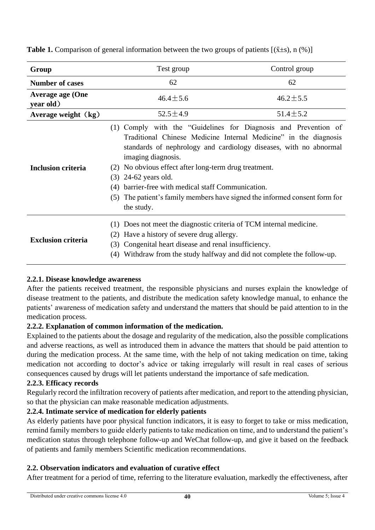| Group                                | Test group                                                                                                                                                                                                                                                                                                                                                                                                                                                                         | Control group  |  |  |
|--------------------------------------|------------------------------------------------------------------------------------------------------------------------------------------------------------------------------------------------------------------------------------------------------------------------------------------------------------------------------------------------------------------------------------------------------------------------------------------------------------------------------------|----------------|--|--|
| <b>Number of cases</b>               | 62                                                                                                                                                                                                                                                                                                                                                                                                                                                                                 | 62             |  |  |
| <b>Average age (One</b><br>year old) | $46.4 \pm 5.6$                                                                                                                                                                                                                                                                                                                                                                                                                                                                     | $46.2 \pm 5.5$ |  |  |
| Average weight $(kg)$                | $52.5 \pm 4.9$                                                                                                                                                                                                                                                                                                                                                                                                                                                                     | $51.4 \pm 5.2$ |  |  |
| <b>Inclusion criteria</b>            | Comply with the "Guidelines for Diagnosis and Prevention of<br>(1)<br>Traditional Chinese Medicine Internal Medicine" in the diagnosis<br>standards of nephrology and cardiology diseases, with no abnormal<br>imaging diagnosis.<br>No obvious effect after long-term drug treatment.<br>(2)<br>$24-62$ years old.<br>(3)<br>barrier-free with medical staff Communication.<br>(4)<br>The patient's family members have signed the informed consent form for<br>(5)<br>the study. |                |  |  |
| <b>Exclusion criteria</b>            | Does not meet the diagnostic criteria of TCM internal medicine.<br>(1)<br>Have a history of severe drug allergy.<br>(2)<br>Congenital heart disease and renal insufficiency.<br>(3)<br>Withdraw from the study halfway and did not complete the follow-up.<br>(4)                                                                                                                                                                                                                  |                |  |  |

**Table 1.** Comparison of general information between the two groups of patients  $[(\bar{x} \pm s), n (\%)]$ 

# **2.2.1. Disease knowledge awareness**

After the patients received treatment, the responsible physicians and nurses explain the knowledge of disease treatment to the patients, and distribute the medication safety knowledge manual, to enhance the patients' awareness of medication safety and understand the matters that should be paid attention to in the medication process.

# **2.2.2. Explanation of common information of the medication.**

Explained to the patients about the dosage and regularity of the medication, also the possible complications and adverse reactions, as well as introduced them in advance the matters that should be paid attention to during the medication process. At the same time, with the help of not taking medication on time, taking medication not according to doctor's advice or taking irregularly will result in real cases of serious consequences caused by drugs will let patients understand the importance of safe medication.

# **2.2.3. Efficacy records**

Regularly record the infiltration recovery of patients after medication, and report to the attending physician, so that the physician can make reasonable medication adjustments.

# **2.2.4. Intimate service of medication for elderly patients**

As elderly patients have poor physical function indicators, it is easy to forget to take or miss medication, remind family members to guide elderly patients to take medication on time, and to understand the patient's medication status through telephone follow-up and WeChat follow-up, and give it based on the feedback of patients and family members Scientific medication recommendations.

# **2.2. Observation indicators and evaluation of curative effect**

After treatment for a period of time, referring to the literature evaluation, markedly the effectiveness, after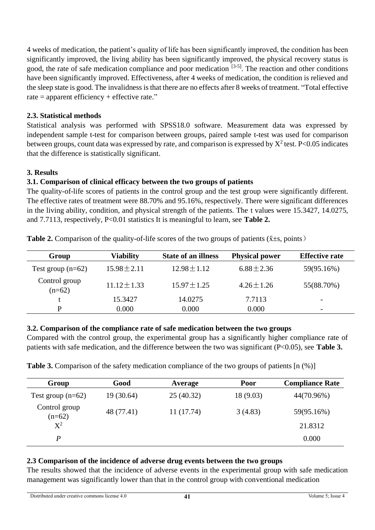4 weeks of medication, the patient's quality of life has been significantly improved, the condition has been significantly improved, the living ability has been significantly improved, the physical recovery status is good, the rate of safe medication compliance and poor medication [3-5]. The reaction and other conditions have been significantly improved. Effectiveness, after 4 weeks of medication, the condition is relieved and the sleep state is good. The invalidness is that there are no effects after 8 weeks of treatment. "Total effective rate = apparent efficiency + effective rate."

# **2.3. Statistical methods**

Statistical analysis was performed with SPSS18.0 software. Measurement data was expressed by independent sample t-test for comparison between groups, paired sample t-test was used for comparison between groups, count data was expressed by rate, and comparison is expressed by  $X^2$  test. P<0.05 indicates that the difference is statistically significant.

# **3. Results**

# **3.1. Comparison of clinical efficacy between the two groups of patients**

The quality-of-life scores of patients in the control group and the test group were significantly different. The effective rates of treatment were 88.70% and 95.16%, respectively. There were significant differences in the living ability, condition, and physical strength of the patients. The t values were 15.3427, 14.0275, and 7.7113, respectively, P<0.01 statistics It is meaningful to learn, see **Table 2.**

| Group                     | <b>Viability</b> | <b>State of an illness</b> | <b>Physical power</b> | <b>Effective rate</b>    |
|---------------------------|------------------|----------------------------|-----------------------|--------------------------|
| Test group $(n=62)$       | $15.98 \pm 2.11$ | $12.98 \pm 1.12$           | $6.88 \pm 2.36$       | 59(95.16%)               |
| Control group<br>$(n=62)$ | $11.12 \pm 1.33$ | $15.97 \pm 1.25$           | $4.26 \pm 1.26$       | 55(88.70%)               |
|                           | 15.3427          | 14.0275                    | 7.7113                | $\overline{\phantom{0}}$ |
| D                         | 0.000            | 0.000                      | 0.000                 | $\overline{\phantom{0}}$ |

**Table 2.** Comparison of the quality-of-life scores of the two groups of patients ( $\bar{x}$ ±s, points)

## **3.2. Comparison of the compliance rate of safe medication between the two groups**

Compared with the control group, the experimental group has a significantly higher compliance rate of patients with safe medication, and the difference between the two was significant (P<0.05), see **Table 3.**

| <b>Table 3.</b> Comparison of the safety medication compliance of the two groups of patients [n (%)] |  |  |  |  |
|------------------------------------------------------------------------------------------------------|--|--|--|--|
|------------------------------------------------------------------------------------------------------|--|--|--|--|

| Group                     | Good       | Average   | Poor      | <b>Compliance Rate</b> |
|---------------------------|------------|-----------|-----------|------------------------|
| Test group $(n=62)$       | 19 (30.64) | 25(40.32) | 18 (9.03) | 44(70.96%)             |
| Control group<br>$(n=62)$ | 48 (77.41) | 11(17.74) | 3(4.83)   | 59(95.16%)             |
| $X^2$                     |            |           |           | 21.8312                |
| P                         |            |           |           | 0.000                  |

# **2.3 Comparison of the incidence of adverse drug events between the two groups**

The results showed that the incidence of adverse events in the experimental group with safe medication management was significantly lower than that in the control group with conventional medication